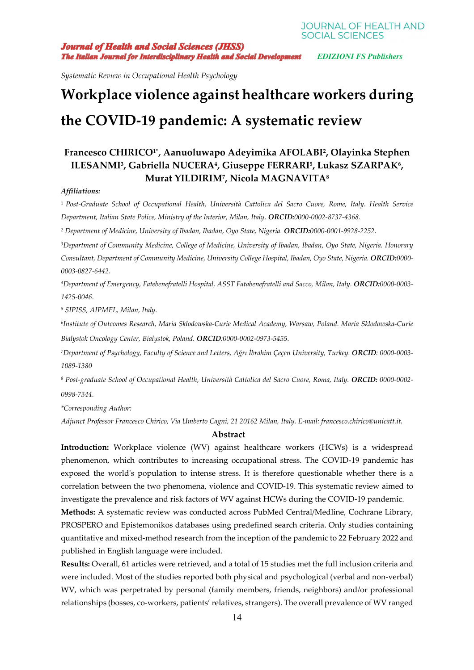**Journal of Health and Social Sciences (JHSS) The Italian Journal for Interdisciplinary Health and Social Development** EDIZIONI FS Publishers

*Systematic Review in Occupational Health Psychology* 

# **Workplace violence against healthcare workers during the COVID-19 pandemic: A systematic review**

# **Francesco CHIRICO1\*, Aanuoluwapo Adeyimika AFOLABI<sup>2</sup> , Olayinka Stephen ILESANMI<sup>3</sup> , Gabriella NUCERA<sup>4</sup> , Giuseppe FERRARI<sup>5</sup> , Lukasz SZARPAK<sup>6</sup> , Murat YILDIRIM<sup>7</sup> , Nicola MAGNAVITA<sup>8</sup>**

#### *Affiliations:*

<sup>1</sup> *Post-Graduate School of Occupational Health, Università Cattolica del Sacro Cuore, Rome, Italy. Health Service Department, Italian State Police, Ministry of the Interior, Milan, Italy. ORCID:0000-0002-8737-4368.* 

*2 Department of Medicine, University of Ibadan, Ibadan, Oyo State, Nigeria. ORCID:0000-0001-9928-2252.* 

*<sup>3</sup>Department of Community Medicine, College of Medicine, University of Ibadan, Ibadan, Oyo State, Nigeria. Honorary Consultant, Department of Community Medicine, University College Hospital, Ibadan, Oyo State, Nigeria. ORCID:0000- 0003-0827-6442.* 

*<sup>4</sup>Department of Emergency, Fatebenefratelli Hospital, ASST Fatabenefratelli and Sacco, Milan, Italy. ORCID:0000-0003- 1425-0046.* 

*5 SIPISS, AIPMEL, Milan, Italy.*

*6 Institute of Outcomes Research, Maria Sklodowska-Curie Medical Academy, Warsaw, Poland. Maria Sklodowska-Curie Bialystok Oncology Center, Bialystok, Poland. ORCID:0000-0002-0973-5455.* 

*<sup>7</sup>Department of Psychology, Faculty of Science and Letters, Ağrı İbrahim Çeçen University, Turkey. ORCID: 0000-0003- 1089-1380* 

*8 Post-graduate School of Occupational Health, Università Cattolica del Sacro Cuore, Roma, Italy. ORCID: 0000-0002- 0998-7344.* 

*\*Corresponding Author:* 

*Adjunct Professor Francesco Chirico, Via Umberto Cagni, 21 20162 Milan, Italy. E-mail: francesco.chirico@unicatt.it.*

#### **Abstract**

**Introduction:** Workplace violence (WV) against healthcare workers (HCWs) is a widespread phenomenon, which contributes to increasing occupational stress. The COVID-19 pandemic has exposed the world's population to intense stress. It is therefore questionable whether there is a correlation between the two phenomena, violence and COVID-19. This systematic review aimed to investigate the prevalence and risk factors of WV against HCWs during the COVID-19 pandemic.

**Methods:** A systematic review was conducted across PubMed Central/Medline, Cochrane Library, PROSPERO and Epistemonikos databases using predefined search criteria. Only studies containing quantitative and mixed-method research from the inception of the pandemic to 22 February 2022 and published in English language were included.

**Results:** Overall, 61 articles were retrieved, and a total of 15 studies met the full inclusion criteria and were included. Most of the studies reported both physical and psychological (verbal and non-verbal) WV, which was perpetrated by personal (family members, friends, neighbors) and/or professional relationships (bosses, co-workers, patients' relatives, strangers). The overall prevalence of WV ranged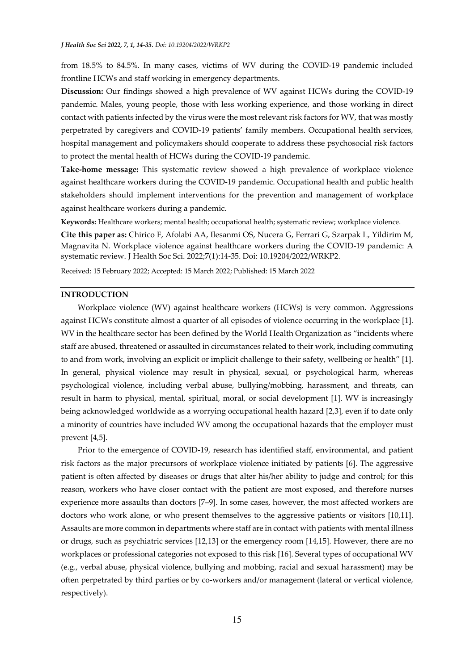from 18.5% to 84.5%. In many cases, victims of WV during the COVID-19 pandemic included frontline HCWs and staff working in emergency departments.

**Discussion:** Our findings showed a high prevalence of WV against HCWs during the COVID-19 pandemic. Males, young people, those with less working experience, and those working in direct contact with patients infected by the virus were the most relevant risk factors for WV, that was mostly perpetrated by caregivers and COVID-19 patients' family members. Occupational health services, hospital management and policymakers should cooperate to address these psychosocial risk factors to protect the mental health of HCWs during the COVID-19 pandemic.

**Take-home message:** This systematic review showed a high prevalence of workplace violence against healthcare workers during the COVID-19 pandemic. Occupational health and public health stakeholders should implement interventions for the prevention and management of workplace against healthcare workers during a pandemic.

**Keywords:** Healthcare workers; mental health; occupational health; systematic review; workplace violence.

**Cite this paper as:** Chirico F, Afolabi AA, Ilesanmi OS, Nucera G, Ferrari G, Szarpak L, Yildirim M, Magnavita N. Workplace violence against healthcare workers during the COVID-19 pandemic: A systematic review. J Health Soc Sci. 2022;7(1):14-35. Doi: 10.19204/2022/WRKP2.

Received: 15 February 2022; Accepted: 15 March 2022; Published: 15 March 2022

#### **INTRODUCTION**

Workplace violence (WV) against healthcare workers (HCWs) is very common. Aggressions against HCWs constitute almost a quarter of all episodes of violence occurring in the workplace [1]. WV in the healthcare sector has been defined by the World Health Organization as "incidents where staff are abused, threatened or assaulted in circumstances related to their work, including commuting to and from work, involving an explicit or implicit challenge to their safety, wellbeing or health" [1]. In general, physical violence may result in physical, sexual, or psychological harm, whereas psychological violence, including verbal abuse, bullying/mobbing, harassment, and threats, can result in harm to physical, mental, spiritual, moral, or social development [1]. WV is increasingly being acknowledged worldwide as a worrying occupational health hazard [2,3], even if to date only a minority of countries have included WV among the occupational hazards that the employer must prevent [4,5].

Prior to the emergence of COVID-19, research has identified staff, environmental, and patient risk factors as the major precursors of workplace violence initiated by patients [6]. The aggressive patient is often affected by diseases or drugs that alter his/her ability to judge and control; for this reason, workers who have closer contact with the patient are most exposed, and therefore nurses experience more assaults than doctors [7–9]. In some cases, however, the most affected workers are doctors who work alone, or who present themselves to the aggressive patients or visitors [10,11]. Assaults are more common in departments where staff are in contact with patients with mental illness or drugs, such as psychiatric services [12,13] or the emergency room [14,15]. However, there are no workplaces or professional categories not exposed to this risk [16]. Several types of occupational WV (e.g., verbal abuse, physical violence, bullying and mobbing, racial and sexual harassment) may be often perpetrated by third parties or by co-workers and/or management (lateral or vertical violence, respectively).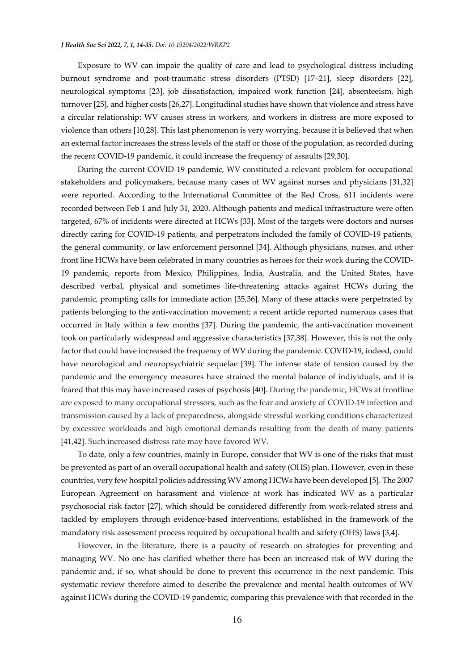Exposure to WV can impair the quality of care and lead to psychological distress including burnout syndrome and post-traumatic stress disorders (PTSD) [17–21], sleep disorders [22], neurological symptoms [23], job dissatisfaction, impaired work function [24], absenteeism, high turnover [25], and higher costs [26,27]. Longitudinal studies have shown that violence and stress have a circular relationship: WV causes stress in workers, and workers in distress are more exposed to violence than others [10,28]. This last phenomenon is very worrying, because it is believed that when an external factor increases the stress levels of the staff or those of the population, as recorded during the recent COVID-19 pandemic, it could increase the frequency of assaults [29,30].

During the current COVID-19 pandemic, WV constituted a relevant problem for occupational stakeholders and policymakers, because many cases of WV against nurses and physicians [31,32] were reported. According to the International Committee of the Red Cross, 611 incidents were recorded between Feb 1 and July 31, 2020. Although patients and medical infrastructure were often targeted, 67% of incidents were directed at HCWs [33]. Most of the targets were doctors and nurses directly caring for COVID-19 patients, and perpetrators included the family of COVID-19 patients, the general community, or law enforcement personnel [34]. Although physicians, nurses, and other front line HCWs have been celebrated in many countries as heroes for their work during the COVID-19 pandemic, reports from Mexico, Philippines, India, Australia, and the United States, have described verbal, physical and sometimes life-threatening attacks against HCWs during the pandemic, prompting calls for immediate action [35,36]. Many of these attacks were perpetrated by patients belonging to the anti-vaccination movement; a recent article reported numerous cases that occurred in Italy within a few months [37]. During the pandemic, the anti-vaccination movement took on particularly widespread and aggressive characteristics [37,38]. However, this is not the only factor that could have increased the frequency of WV during the pandemic. COVID-19, indeed, could have neurological and neuropsychiatric sequelae [39]. The intense state of tension caused by the pandemic and the emergency measures have strained the mental balance of individuals, and it is feared that this may have increased cases of psychosis [40]. During the pandemic, HCWs at frontline are exposed to many occupational stressors, such as the fear and anxiety of COVID-19 infection and transmission caused by a lack of preparedness, alongside stressful working conditions characterized by excessive workloads and high emotional demands resulting from the death of many patients [41,42]. Such increased distress rate may have favored WV.

To date, only a few countries, mainly in Europe, consider that WV is one of the risks that must be prevented as part of an overall occupational health and safety (OHS) plan. However, even in these countries, very few hospital policies addressing WV among HCWs have been developed [5]. The 2007 European Agreement on harassment and violence at work has indicated WV as a particular psychosocial risk factor [27], which should be considered differently from work-related stress and tackled by employers through evidence-based interventions, established in the framework of the mandatory risk assessment process required by occupational health and safety (OHS) laws [3,4].

However, in the literature, there is a paucity of research on strategies for preventing and managing WV. No one has clarified whether there has been an increased risk of WV during the pandemic and, if so, what should be done to prevent this occurrence in the next pandemic. This systematic review therefore aimed to describe the prevalence and mental health outcomes of WV against HCWs during the COVID-19 pandemic, comparing this prevalence with that recorded in the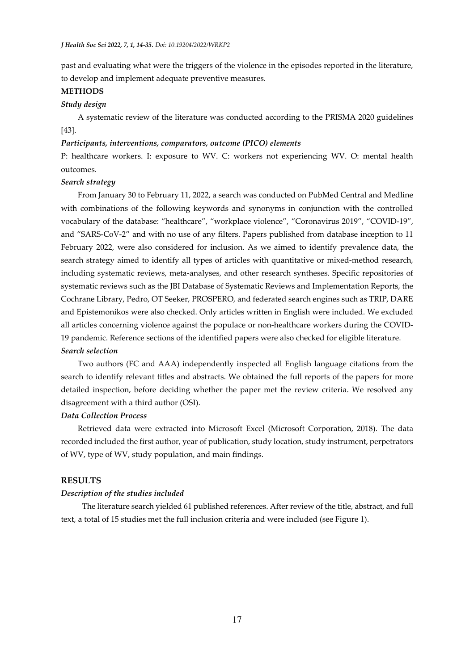past and evaluating what were the triggers of the violence in the episodes reported in the literature, to develop and implement adequate preventive measures.

#### **METHODS**

#### *Study design*

A systematic review of the literature was conducted according to the PRISMA 2020 guidelines [43].

### *Participants, interventions, comparators, outcome (PICO) elements*

P: healthcare workers. I: exposure to WV. C: workers not experiencing WV. O: mental health outcomes.

#### *Search strategy*

From January 30 to February 11, 2022, a search was conducted on PubMed Central and Medline with combinations of the following keywords and synonyms in conjunction with the controlled vocabulary of the database: "healthcare", "workplace violence", "Coronavirus 2019", "COVID-19", and "SARS-CoV-2" and with no use of any filters. Papers published from database inception to 11 February 2022, were also considered for inclusion. As we aimed to identify prevalence data, the search strategy aimed to identify all types of articles with quantitative or mixed-method research, including systematic reviews, meta-analyses, and other research syntheses. Specific repositories of systematic reviews such as the JBI Database of Systematic Reviews and Implementation Reports, the Cochrane Library, Pedro, OT Seeker, PROSPERO, and federated search engines such as TRIP, DARE and Epistemonikos were also checked. Only articles written in English were included. We excluded all articles concerning violence against the populace or non-healthcare workers during the COVID-19 pandemic. Reference sections of the identified papers were also checked for eligible literature. *Search selection* 

Two authors (FC and AAA) independently inspected all English language citations from the search to identify relevant titles and abstracts. We obtained the full reports of the papers for more detailed inspection, before deciding whether the paper met the review criteria. We resolved any disagreement with a third author (OSI).

### *Data Collection Process*

Retrieved data were extracted into Microsoft Excel (Microsoft Corporation, 2018). The data recorded included the first author, year of publication, study location, study instrument, perpetrators of WV, type of WV, study population, and main findings.

## **RESULTS**

### *Description of the studies included*

 The literature search yielded 61 published references. After review of the title, abstract, and full text, a total of 15 studies met the full inclusion criteria and were included (see Figure 1).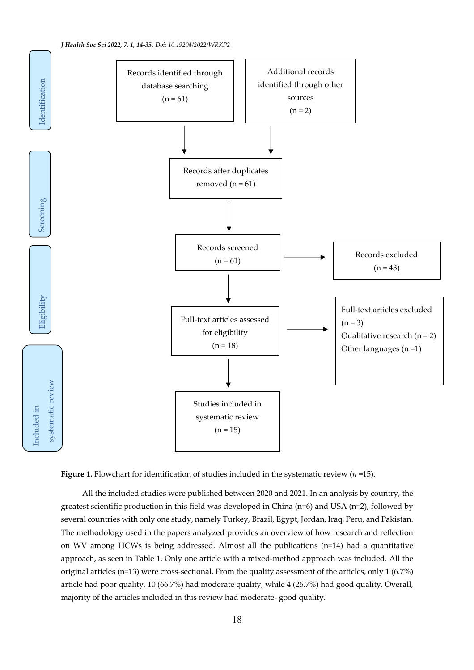



 All the included studies were published between 2020 and 2021. In an analysis by country, the greatest scientific production in this field was developed in China (n=6) and USA (n=2), followed by several countries with only one study, namely Turkey, Brazil, Egypt, Jordan, Iraq, Peru, and Pakistan. The methodology used in the papers analyzed provides an overview of how research and reflection on WV among HCWs is being addressed. Almost all the publications (n=14) had a quantitative approach, as seen in Table 1. Only one article with a mixed-method approach was included. All the original articles (n=13) were cross-sectional. From the quality assessment of the articles, only 1 (6.7%) article had poor quality, 10 (66.7%) had moderate quality, while 4 (26.7%) had good quality. Overall, majority of the articles included in this review had moderate- good quality.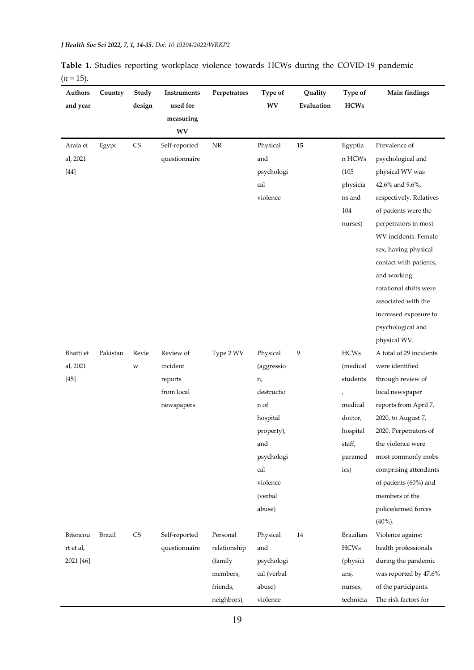| Authors<br>and year | Country  | Study<br>design        | Instruments<br>used for | Perpetrators | Type of<br>WV | Quality<br>Evaluation | Type of<br><b>HCWs</b>   | Main findings           |
|---------------------|----------|------------------------|-------------------------|--------------|---------------|-----------------------|--------------------------|-------------------------|
|                     |          |                        | measuring               |              |               |                       |                          |                         |
|                     |          |                        | $\mathbf{W}\mathbf{V}$  |              |               |                       |                          |                         |
| Arafa et            | Egypt    | $\mathbb{C}\mathbb{S}$ | Self-reported           | $\rm{NR}$    | Physical      | 15                    | Egyptia                  | Prevalence of           |
| al, 2021            |          |                        | questionnaire           |              | and           |                       | n HCWs                   | psychological and       |
| $[44]$              |          |                        |                         |              | psychologi    |                       | (105)                    | physical WV was         |
|                     |          |                        |                         |              | cal           |                       | physicia                 | 42.6% and 9.6%,         |
|                     |          |                        |                         |              | violence      |                       | ns and                   | respectively. Relatives |
|                     |          |                        |                         |              |               |                       | $104\,$                  | of patients were the    |
|                     |          |                        |                         |              |               |                       | nurses)                  | perpetrators in most    |
|                     |          |                        |                         |              |               |                       |                          | WV incidents. Female    |
|                     |          |                        |                         |              |               |                       |                          | sex, having physical    |
|                     |          |                        |                         |              |               |                       |                          | contact with patients,  |
|                     |          |                        |                         |              |               |                       |                          | and working             |
|                     |          |                        |                         |              |               |                       |                          | rotational shifts were  |
|                     |          |                        |                         |              |               |                       |                          | associated with the     |
|                     |          |                        |                         |              |               |                       |                          | increased exposure to   |
|                     |          |                        |                         |              |               |                       |                          | psychological and       |
|                     |          |                        |                         |              |               |                       |                          | physical WV.            |
| Bhatti et           | Pakistan | Revie                  | Review of               | Type 2 WV    | Physical      | $\boldsymbol{9}$      | <b>HCWs</b>              | A total of 29 incidents |
| al, 2021            |          | W                      | incident                |              | (aggressio    |                       | (medical                 | were identified         |
| $[45]$              |          |                        | reports                 |              | n,            |                       | students                 | through review of       |
|                     |          |                        | from local              |              | destructio    |                       |                          | local newspaper         |
|                     |          |                        | newspapers              |              | n of          |                       | $\operatorname{medical}$ | reports from April 7,   |
|                     |          |                        |                         |              | hospital      |                       | doctor,                  | 2020, to August 7,      |
|                     |          |                        |                         |              | property),    |                       | hospital                 | 2020. Perpetrators of   |
|                     |          |                        |                         |              | and           |                       | staff,                   | the violence were       |
|                     |          |                        |                         |              | psychologi    |                       | paramed                  | most commonly mobs      |
|                     |          |                        |                         |              | cal           |                       | ics)                     | comprising attendants   |
|                     |          |                        |                         |              | violence      |                       |                          | of patients (60%) and   |
|                     |          |                        |                         |              | (verbal       |                       |                          | members of the          |
|                     |          |                        |                         |              | abuse)        |                       |                          | police/armed forces     |
|                     |          |                        |                         |              |               |                       |                          | $(40\%).$               |
| Bitencou            | Brazil   | <b>CS</b>              | Self-reported           | Personal     | Physical      | 14                    | Brazilian                | Violence against        |
| rt et al,           |          |                        | questionnaire           | relationship | and           |                       | <b>HCWs</b>              | health professionals    |
| 2021 [46]           |          |                        |                         | (family      | psychologi    |                       | (physici                 | during the pandemic     |
|                     |          |                        |                         | members,     | cal (verbal   |                       | ans,                     | was reported by 47.6%   |
|                     |          |                        |                         | friends,     | abuse)        |                       | nurses,                  | of the participants.    |
|                     |          |                        |                         | neighbors),  | violence      |                       | technicia                | The risk factors for    |

**Table 1.** Studies reporting workplace violence towards HCWs during the COVID-19 pandemic  $(n = 15)$ .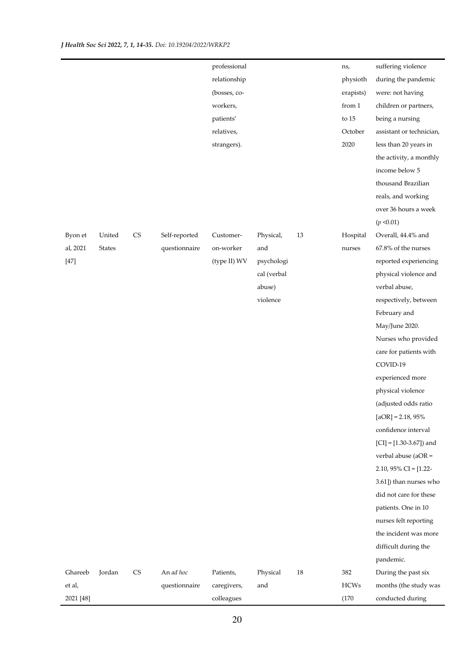|           |               |                        |               | professional |             |    | ns,         | suffering violence         |
|-----------|---------------|------------------------|---------------|--------------|-------------|----|-------------|----------------------------|
|           |               |                        |               | relationship |             |    | physioth    | during the pandemic        |
|           |               |                        |               | (bosses, co- |             |    | erapists)   | were: not having           |
|           |               |                        |               | workers,     |             |    | from 1      | children or partners,      |
|           |               |                        |               | patients'    |             |    | to $15$     | being a nursing            |
|           |               |                        |               | relatives,   |             |    | October     | assistant or technician,   |
|           |               |                        |               | strangers).  |             |    | 2020        | less than 20 years in      |
|           |               |                        |               |              |             |    |             | the activity, a monthly    |
|           |               |                        |               |              |             |    |             | income below 5             |
|           |               |                        |               |              |             |    |             | thousand Brazilian         |
|           |               |                        |               |              |             |    |             | reals, and working         |
|           |               |                        |               |              |             |    |             | over 36 hours a week       |
|           |               |                        |               |              |             |    |             | (p < 0.01)                 |
| Byon et   | United        | $\mathbb{C}\mathbb{S}$ | Self-reported | Customer-    | Physical,   | 13 | Hospital    | Overall, 44.4% and         |
| al, 2021  | <b>States</b> |                        | questionnaire | on-worker    | and         |    | nurses      | 67.8% of the nurses        |
| $[47]$    |               |                        |               | (type II) WV | psychologi  |    |             | reported experiencing      |
|           |               |                        |               |              | cal (verbal |    |             | physical violence and      |
|           |               |                        |               |              | abuse)      |    |             | verbal abuse,              |
|           |               |                        |               |              | violence    |    |             | respectively, between      |
|           |               |                        |               |              |             |    |             | February and               |
|           |               |                        |               |              |             |    |             | May/June 2020.             |
|           |               |                        |               |              |             |    |             | Nurses who provided        |
|           |               |                        |               |              |             |    |             | care for patients with     |
|           |               |                        |               |              |             |    |             | COVID-19                   |
|           |               |                        |               |              |             |    |             | experienced more           |
|           |               |                        |               |              |             |    |             | physical violence          |
|           |               |                        |               |              |             |    |             | (adjusted odds ratio       |
|           |               |                        |               |              |             |    |             | $[aOR] = 2.18,95\%$        |
|           |               |                        |               |              |             |    |             | confidence interval        |
|           |               |                        |               |              |             |    |             | $[CI] = [1.30-3.67]$ ) and |
|           |               |                        |               |              |             |    |             | verbal abuse ( $aOR =$     |
|           |               |                        |               |              |             |    |             | 2.10, 95% CI = $[1.22 -$   |
|           |               |                        |               |              |             |    |             | 3.61]) than nurses who     |
|           |               |                        |               |              |             |    |             | did not care for these     |
|           |               |                        |               |              |             |    |             | patients. One in 10        |
|           |               |                        |               |              |             |    |             | nurses felt reporting      |
|           |               |                        |               |              |             |    |             | the incident was more      |
|           |               |                        |               |              |             |    |             | difficult during the       |
|           |               |                        |               |              |             |    |             | pandemic.                  |
| Ghareeb   | Jordan        | <b>CS</b>              | An ad hoc     | Patients,    | Physical    | 18 | 382         | During the past six        |
| et al,    |               |                        | questionnaire | caregivers,  | and         |    | <b>HCWs</b> | months (the study was      |
| 2021 [48] |               |                        |               | colleagues   |             |    | (170)       | conducted during           |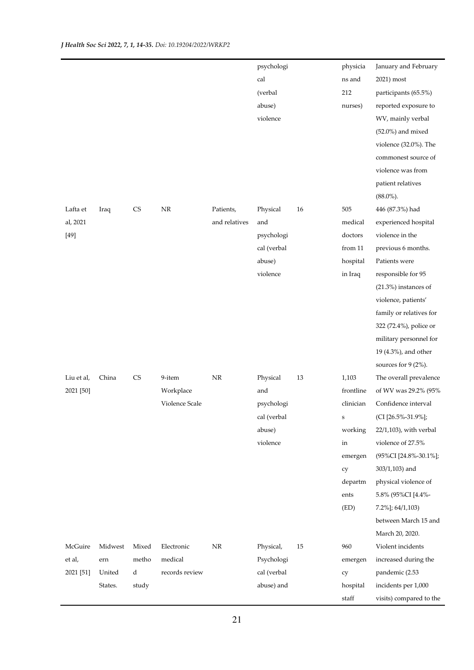|            |         |           |                |               | psychologi  |    | physicia          | January and February      |
|------------|---------|-----------|----------------|---------------|-------------|----|-------------------|---------------------------|
|            |         |           |                |               | cal         |    | ns and            | 2021) most                |
|            |         |           |                |               | (verbal     |    | 212               | participants (65.5%)      |
|            |         |           |                |               | abuse)      |    | nurses)           | reported exposure to      |
|            |         |           |                |               | violence    |    |                   | WV, mainly verbal         |
|            |         |           |                |               |             |    |                   | $(52.0\%)$ and mixed      |
|            |         |           |                |               |             |    |                   | violence $(32.0\%)$ . The |
|            |         |           |                |               |             |    |                   | commonest source of       |
|            |         |           |                |               |             |    |                   | violence was from         |
|            |         |           |                |               |             |    |                   | patient relatives         |
|            |         |           |                |               |             |    |                   | $(88.0\%).$               |
| Lafta et   | Iraq    | <b>CS</b> | $\rm NR$       | Patients,     | Physical    | 16 | 505               | 446 (87.3%) had           |
| al, 2021   |         |           |                | and relatives | and         |    | medical           | experienced hospital      |
| $[49]$     |         |           |                |               | psychologi  |    | doctors           | violence in the           |
|            |         |           |                |               | cal (verbal |    | from 11           | previous 6 months.        |
|            |         |           |                |               | abuse)      |    | hospital          | Patients were             |
|            |         |           |                |               | violence    |    | in Iraq           | responsible for 95        |
|            |         |           |                |               |             |    |                   | $(21.3%)$ instances of    |
|            |         |           |                |               |             |    |                   | violence, patients'       |
|            |         |           |                |               |             |    |                   | family or relatives for   |
|            |         |           |                |               |             |    |                   | 322 (72.4%), police or    |
|            |         |           |                |               |             |    |                   | military personnel for    |
|            |         |           |                |               |             |    |                   | 19 (4.3%), and other      |
|            |         |           |                |               |             |    |                   | sources for 9 (2%).       |
| Liu et al, | China   | <b>CS</b> | 9-item         | $\rm{NR}$     | Physical    | 13 | 1,103             | The overall prevalence    |
| 2021 [50]  |         |           | Workplace      |               | and         |    | frontline         | of WV was 29.2% (95%      |
|            |         |           | Violence Scale |               | psychologi  |    | clinician         | Confidence interval       |
|            |         |           |                |               | cal (verbal |    | $\bf S$           | (CI [26.5%-31.9%];        |
|            |         |           |                |               | abuse)      |    | working           | 22/1,103), with verbal    |
|            |         |           |                |               | violence    |    | in                | violence of 27.5%         |
|            |         |           |                |               |             |    | emergen           | (95%CI [24.8%-30.1%];     |
|            |         |           |                |               |             |    | cy                | 303/1,103) and            |
|            |         |           |                |               |             |    | departm           | physical violence of      |
|            |         |           |                |               |             |    | ents              | 5.8% (95%CI [4.4%-        |
|            |         |           |                |               |             |    | (ED)              | $7.2\%$ ]; 64/1,103)      |
|            |         |           |                |               |             |    |                   | between March 15 and      |
|            |         |           |                |               |             |    |                   | March 20, 2020.           |
| McGuire    | Midwest | Mixed     | Electronic     | $\rm{NR}$     | Physical,   | 15 | 960               | Violent incidents         |
| et al,     | ern     | metho     | medical        |               | Psychologi  |    | emergen           | increased during the      |
| 2021 [51]  | United  | d         | records review |               | cal (verbal |    | cy                | pandemic (2.53            |
|            | States. | study     |                |               | abuse) and  |    | hospital          | incidents per 1,000       |
|            |         |           |                |               |             |    | $_{\mbox{staff}}$ | visits) compared to the   |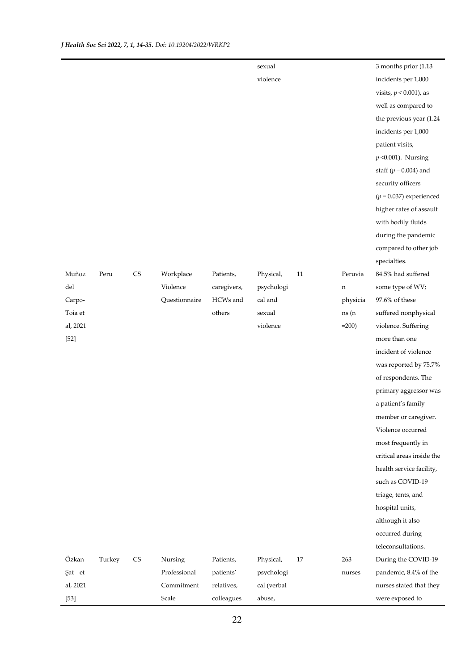|          |        |                        |               |             | sexual      |    |          | 3 months prior (1.13)     |
|----------|--------|------------------------|---------------|-------------|-------------|----|----------|---------------------------|
|          |        |                        |               |             | violence    |    |          | incidents per 1,000       |
|          |        |                        |               |             |             |    |          | visits, $p < 0.001$ ), as |
|          |        |                        |               |             |             |    |          | well as compared to       |
|          |        |                        |               |             |             |    |          | the previous year (1.24   |
|          |        |                        |               |             |             |    |          | incidents per 1,000       |
|          |        |                        |               |             |             |    |          | patient visits,           |
|          |        |                        |               |             |             |    |          | $p$ <0.001). Nursing      |
|          |        |                        |               |             |             |    |          | staff ( $p = 0.004$ ) and |
|          |        |                        |               |             |             |    |          | security officers         |
|          |        |                        |               |             |             |    |          | $(p = 0.037)$ experienced |
|          |        |                        |               |             |             |    |          | higher rates of assault   |
|          |        |                        |               |             |             |    |          | with bodily fluids        |
|          |        |                        |               |             |             |    |          | during the pandemic       |
|          |        |                        |               |             |             |    |          | compared to other job     |
|          |        |                        |               |             |             |    |          | specialties.              |
| Muñoz    | Peru   | $\mathbb{C}\mathbb{S}$ | Workplace     | Patients,   | Physical,   | 11 | Peruvia  | 84.5% had suffered        |
| del      |        |                        | Violence      | caregivers, | psychologi  |    | n        | some type of WV;          |
| Carpo-   |        |                        | Questionnaire | HCWs and    | cal and     |    | physicia | 97.6% of these            |
| Toia et  |        |                        |               | $\,$ others | sexual      |    | ns (n    | suffered nonphysical      |
| al, 2021 |        |                        |               |             | violence    |    | $=200$ ) | violence. Suffering       |
| $[52]$   |        |                        |               |             |             |    |          | more than one             |
|          |        |                        |               |             |             |    |          | incident of violence      |
|          |        |                        |               |             |             |    |          | was reported by 75.7%     |
|          |        |                        |               |             |             |    |          | of respondents. The       |
|          |        |                        |               |             |             |    |          | primary aggressor was     |
|          |        |                        |               |             |             |    |          | a patient's family        |
|          |        |                        |               |             |             |    |          | member or caregiver.      |
|          |        |                        |               |             |             |    |          | Violence occurred         |
|          |        |                        |               |             |             |    |          | most frequently in        |
|          |        |                        |               |             |             |    |          | critical areas inside the |
|          |        |                        |               |             |             |    |          | health service facility,  |
|          |        |                        |               |             |             |    |          | such as COVID-19          |
|          |        |                        |               |             |             |    |          | triage, tents, and        |
|          |        |                        |               |             |             |    |          | hospital units,           |
|          |        |                        |               |             |             |    |          | although it also          |
|          |        |                        |               |             |             |    |          | occurred during           |
|          |        |                        |               |             |             |    |          | teleconsultations.        |
| Özkan    | Turkey | $\mathbb{C}\mathbb{S}$ | Nursing       | Patients,   | Physical,   | 17 | 263      | During the COVID-19       |
| Şat et   |        |                        | Professional  | patients'   | psychologi  |    | nurses   | pandemic, 8.4% of the     |
| al, 2021 |        |                        | Commitment    | relatives,  | cal (verbal |    |          | nurses stated that they   |
| $[53]$   |        |                        | Scale         | colleagues  | abuse,      |    |          | were exposed to           |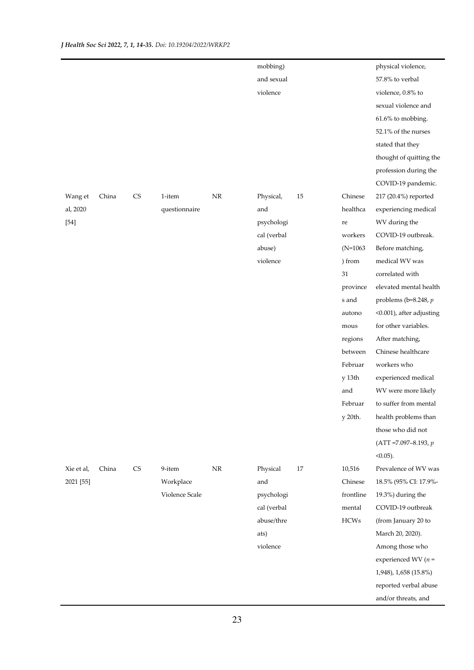|            |       |    |                |          | mobbing)    |    |            | physical violence,         |
|------------|-------|----|----------------|----------|-------------|----|------------|----------------------------|
|            |       |    |                |          | and sexual  |    |            | 57.8% to verbal            |
|            |       |    |                |          | violence    |    |            | violence, 0.8% to          |
|            |       |    |                |          |             |    |            | sexual violence and        |
|            |       |    |                |          |             |    |            | 61.6% to mobbing.          |
|            |       |    |                |          |             |    |            | 52.1% of the nurses        |
|            |       |    |                |          |             |    |            | stated that they           |
|            |       |    |                |          |             |    |            | thought of quitting the    |
|            |       |    |                |          |             |    |            | profession during the      |
|            |       |    |                |          |             |    |            | COVID-19 pandemic.         |
| Wang et    | China | CS | 1-item         | $\rm NR$ | Physical,   | 15 | Chinese    | 217 (20.4%) reported       |
| al, 2020   |       |    | questionnaire  |          | and         |    | healthca   | experiencing medical       |
| $[54]$     |       |    |                |          | psychologi  |    | re         | WV during the              |
|            |       |    |                |          | cal (verbal |    | workers    | COVID-19 outbreak.         |
|            |       |    |                |          | abuse)      |    | $(N=1063)$ | Before matching,           |
|            |       |    |                |          | violence    |    | ) from     | medical WV was             |
|            |       |    |                |          |             |    | 31         | correlated with            |
|            |       |    |                |          |             |    | province   | elevated mental health     |
|            |       |    |                |          |             |    | s and      | problems ( $b=8.248$ , $p$ |
|            |       |    |                |          |             |    | autono     | <0.001), after adjusting   |
|            |       |    |                |          |             |    | mous       | for other variables.       |
|            |       |    |                |          |             |    | regions    | After matching,            |
|            |       |    |                |          |             |    | between    | Chinese healthcare         |
|            |       |    |                |          |             |    | Februar    | workers who                |
|            |       |    |                |          |             |    | y 13th     | experienced medical        |
|            |       |    |                |          |             |    | and        | WV were more likely        |
|            |       |    |                |          |             |    | Februar    | to suffer from mental      |
|            |       |    |                |          |             |    | y 20th.    | health problems than       |
|            |       |    |                |          |             |    |            | those who did not          |
|            |       |    |                |          |             |    |            | $(ATT = 7.097 - 8.193, p$  |
|            |       |    |                |          |             |    |            | $<0.05$ ).                 |
| Xie et al, | China | CS | 9-item         | $\rm NR$ | Physical    | 17 | 10,516     | Prevalence of WV was       |
| 2021 [55]  |       |    | Workplace      |          | and         |    | Chinese    | 18.5% (95% CI: 17.9%-      |
|            |       |    | Violence Scale |          | psychologi  |    | frontline  | 19.3%) during the          |
|            |       |    |                |          | cal (verbal |    | mental     | COVID-19 outbreak          |
|            |       |    |                |          | abuse/thre  |    | $HCWs$     | (from January 20 to        |
|            |       |    |                |          | ats)        |    |            | March 20, 2020).           |
|            |       |    |                |          | violence    |    |            | Among those who            |
|            |       |    |                |          |             |    |            | experienced WV $(n =$      |
|            |       |    |                |          |             |    |            | 1,948), 1,658 (15.8%)      |
|            |       |    |                |          |             |    |            | reported verbal abuse      |
|            |       |    |                |          |             |    |            | and/or threats, and        |
|            |       |    |                |          |             |    |            |                            |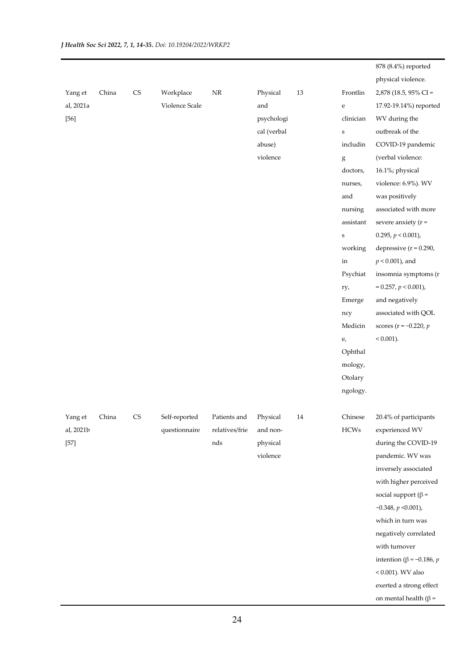|           |       |            |                |                |             |    |             | 878 (8.4%) reported                 |
|-----------|-------|------------|----------------|----------------|-------------|----|-------------|-------------------------------------|
|           |       |            |                |                |             |    |             | physical violence.                  |
| Yang et   | China | ${\rm CS}$ | Workplace      | $\rm{NR}$      | Physical    | 13 | Frontlin    | 2,878 (18.5, 95% CI =               |
| al, 2021a |       |            | Violence Scale |                | and         |    | ${\bf e}$   | 17.92-19.14%) reported              |
| $[56]$    |       |            |                |                | psychologi  |    | clinician   | WV during the                       |
|           |       |            |                |                | cal (verbal |    | $\bf S$     | outbreak of the                     |
|           |       |            |                |                | abuse)      |    | includin    | COVID-19 pandemic                   |
|           |       |            |                |                | violence    |    | g           | (verbal violence:                   |
|           |       |            |                |                |             |    | doctors,    | 16.1%; physical                     |
|           |       |            |                |                |             |    | nurses,     | violence: 6.9%). WV                 |
|           |       |            |                |                |             |    | and         | was positively                      |
|           |       |            |                |                |             |    | nursing     | associated with more                |
|           |       |            |                |                |             |    | assistant   | severe anxiety $(r =$               |
|           |       |            |                |                |             |    | $\bf S$     | 0.295, $p < 0.001$ ),               |
|           |       |            |                |                |             |    | working     | depressive $(r = 0.290,$            |
|           |       |            |                |                |             |    | in          | $p < 0.001$ ), and                  |
|           |       |            |                |                |             |    | Psychiat    | insomnia symptoms (r                |
|           |       |            |                |                |             |    | ry,         | $= 0.257, p < 0.001$ ),             |
|           |       |            |                |                |             |    | Emerge      | and negatively                      |
|           |       |            |                |                |             |    | ncy         | associated with QOL                 |
|           |       |            |                |                |             |    | Medicin     | scores ( $r = -0.220$ , $p$         |
|           |       |            |                |                |             |    | e,          | $< 0.001$ ).                        |
|           |       |            |                |                |             |    | Ophthal     |                                     |
|           |       |            |                |                |             |    | mology,     |                                     |
|           |       |            |                |                |             |    | Otolary     |                                     |
|           |       |            |                |                |             |    | ngology.    |                                     |
|           |       |            |                |                |             |    |             |                                     |
| Yang et   | China | <b>CS</b>  | Self-reported  | Patients and   | Physical    | 14 | Chinese     | 20.4% of participants               |
| al, 2021b |       |            | questionnaire  | relatives/frie | and non-    |    | <b>HCWs</b> | experienced WV                      |
| $[57]$    |       |            |                | $\mathrm{nds}$ | physical    |    |             | during the COVID-19                 |
|           |       |            |                |                | violence    |    |             | pandemic. WV was                    |
|           |       |            |                |                |             |    |             | inversely associated                |
|           |       |            |                |                |             |    |             | with higher perceived               |
|           |       |            |                |                |             |    |             | social support ( $\beta$ =          |
|           |       |            |                |                |             |    |             | $-0.348, p < 0.001$ ),              |
|           |       |            |                |                |             |    |             | which in turn was                   |
|           |       |            |                |                |             |    |             | negatively correlated               |
|           |       |            |                |                |             |    |             | with turnover                       |
|           |       |            |                |                |             |    |             | intention ( $\beta$ = -0.186, $p$ ) |
|           |       |            |                |                |             |    |             | $< 0.001$ ). WV also                |
|           |       |            |                |                |             |    |             | exerted a strong effect             |
|           |       |            |                |                |             |    |             | on mental health ( $\beta$ =        |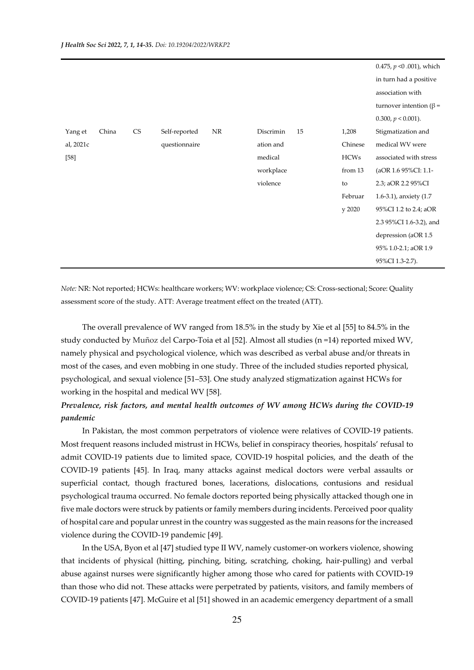|           |       |           |               |           |           |    |             | 0.475, $p \le 0.001$ ), which  |
|-----------|-------|-----------|---------------|-----------|-----------|----|-------------|--------------------------------|
|           |       |           |               |           |           |    |             | in turn had a positive         |
|           |       |           |               |           |           |    |             | association with               |
|           |       |           |               |           |           |    |             | turnover intention ( $\beta$ = |
|           |       |           |               |           |           |    |             | 0.300, $p < 0.001$ ).          |
| Yang et   | China | <b>CS</b> | Self-reported | <b>NR</b> | Discrimin | 15 | 1,208       | Stigmatization and             |
| al, 2021c |       |           | questionnaire |           | ation and |    | Chinese     | medical WV were                |
| $[58]$    |       |           |               |           | medical   |    | <b>HCWs</b> | associated with stress         |
|           |       |           |               |           | workplace |    | from 13     | (aOR 1.6 95%CI: 1.1-           |
|           |       |           |               |           | violence  |    | to          | 2.3; aOR 2.2 95%CI             |
|           |       |           |               |           |           |    | Februar     | 1.6-3.1), anxiety $(1.7)$      |
|           |       |           |               |           |           |    | y 2020      | 95%CI 1.2 to 2.4; aOR          |
|           |       |           |               |           |           |    |             | 2.3 95%CI 1.6-3.2), and        |
|           |       |           |               |           |           |    |             | depression (aOR 1.5            |
|           |       |           |               |           |           |    |             | 95% 1.0-2.1; aOR 1.9           |
|           |       |           |               |           |           |    |             | 95%CI 1.3-2.7).                |

*Note:* NR: Not reported; HCWs: healthcare workers; WV: workplace violence; CS: Cross-sectional; Score: Quality assessment score of the study. ATT: Average treatment effect on the treated (ATT).

 The overall prevalence of WV ranged from 18.5% in the study by Xie et al [55] to 84.5% in the study conducted by Muñoz del Carpo-Toia et al [52]. Almost all studies (n =14) reported mixed WV, namely physical and psychological violence, which was described as verbal abuse and/or threats in most of the cases, and even mobbing in one study. Three of the included studies reported physical, psychological, and sexual violence [51–53]. One study analyzed stigmatization against HCWs for working in the hospital and medical WV [58].

## *Prevalence, risk factors, and mental health outcomes of WV among HCWs during the COVID-19 pandemic*

In Pakistan, the most common perpetrators of violence were relatives of COVID-19 patients. Most frequent reasons included mistrust in HCWs, belief in conspiracy theories, hospitals' refusal to admit COVID-19 patients due to limited space, COVID-19 hospital policies, and the death of the COVID-19 patients [45]. In Iraq, many attacks against medical doctors were verbal assaults or superficial contact, though fractured bones, lacerations, dislocations, contusions and residual psychological trauma occurred. No female doctors reported being physically attacked though one in five male doctors were struck by patients or family members during incidents. Perceived poor quality of hospital care and popular unrest in the country was suggested as the main reasons for the increased violence during the COVID-19 pandemic [49].

 In the USA, Byon et al [47] studied type II WV, namely customer-on workers violence, showing that incidents of physical (hitting, pinching, biting, scratching, choking, hair-pulling) and verbal abuse against nurses were significantly higher among those who cared for patients with COVID-19 than those who did not. These attacks were perpetrated by patients, visitors, and family members of COVID-19 patients [47]. McGuire et al [51] showed in an academic emergency department of a small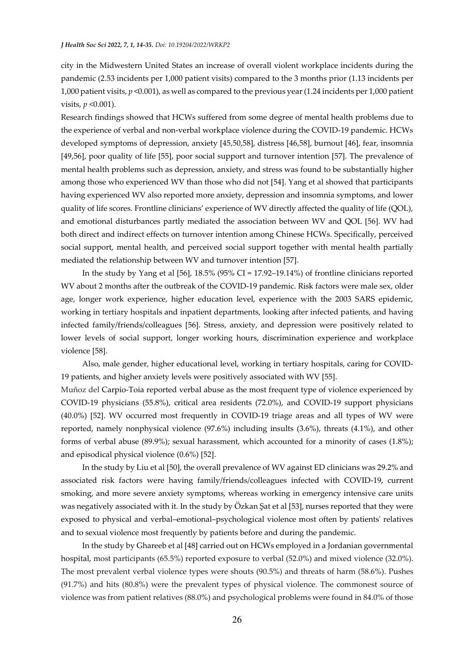city in the Midwestern United States an increase of overall violent workplace incidents during the pandemic (2.53 incidents per 1,000 patient visits) compared to the 3 months prior (1.13 incidents per 1,000 patient visits, *p* <0.001), as well as compared to the previous year (1.24 incidents per 1,000 patient visits, *p* <0.001).

Research findings showed that HCWs suffered from some degree of mental health problems due to the experience of verbal and non-verbal workplace violence during the COVID-19 pandemic. HCWs developed symptoms of depression, anxiety [45,50,58], distress [46,58], burnout [46], fear, insomnia [49,56], poor quality of life [55], poor social support and turnover intention [57]. The prevalence of mental health problems such as depression, anxiety, and stress was found to be substantially higher among those who experienced WV than those who did not [54]. Yang et al showed that participants having experienced WV also reported more anxiety, depression and insomnia symptoms, and lower quality of life scores. Frontline clinicians' experience of WV directly affected the quality of life (QOL), and emotional disturbances partly mediated the association between WV and QOL [56]. WV had both direct and indirect effects on turnover intention among Chinese HCWs. Specifically, perceived social support, mental health, and perceived social support together with mental health partially mediated the relationship between WV and turnover intention [57].

 In the study by Yang et al [56], 18.5% (95% CI = 17.92–19.14%) of frontline clinicians reported WV about 2 months after the outbreak of the COVID-19 pandemic. Risk factors were male sex, older age, longer work experience, higher education level, experience with the 2003 SARS epidemic, working in tertiary hospitals and inpatient departments, looking after infected patients, and having infected family/friends/colleagues [56]. Stress, anxiety, and depression were positively related to lower levels of social support, longer working hours, discrimination experience and workplace violence [58].

 Also, male gender, higher educational level, working in tertiary hospitals, caring for COVID-19 patients, and higher anxiety levels were positively associated with WV [55].

Muñoz del Carpio-Toia reported verbal abuse as the most frequent type of violence experienced by COVID-19 physicians (55.8%), critical area residents (72.0%), and COVID-19 support physicians (40.0%) [52]. WV occurred most frequently in COVID-19 triage areas and all types of WV were reported, namely nonphysical violence (97.6%) including insults (3.6%), threats (4.1%), and other forms of verbal abuse (89.9%); sexual harassment, which accounted for a minority of cases (1.8%); and episodical physical violence (0.6%) [52].

 In the study by Liu et al [50], the overall prevalence of WV against ED clinicians was 29.2% and associated risk factors were having family/friends/colleagues infected with COVID-19, current smoking, and more severe anxiety symptoms, whereas working in emergency intensive care units was negatively associated with it. In the study by Özkan Şat et al [53], nurses reported that they were exposed to physical and verbal–emotional–psychological violence most often by patients' relatives and to sexual violence most frequently by patients before and during the pandemic.

 In the study by Ghareeb et al [48] carried out on HCWs employed in a Jordanian governmental hospital, most participants (65.5%) reported exposure to verbal (52.0%) and mixed violence (32.0%). The most prevalent verbal violence types were shouts (90.5%) and threats of harm (58.6%). Pushes (91.7%) and hits (80.8%) were the prevalent types of physical violence. The commonest source of violence was from patient relatives (88.0%) and psychological problems were found in 84.0% of those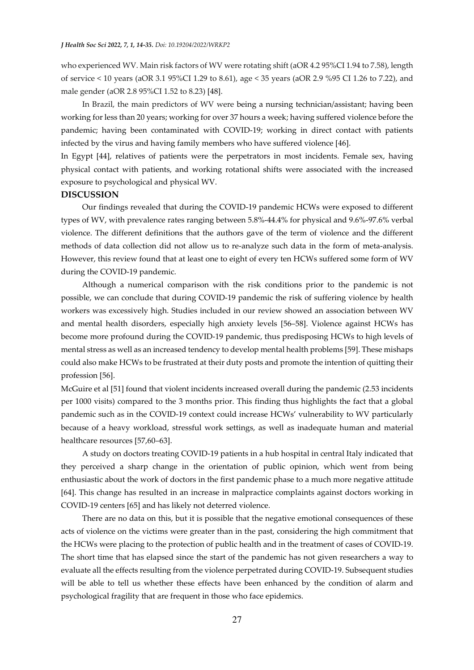who experienced WV. Main risk factors of WV were rotating shift (aOR 4.2 95%CI 1.94 to 7.58), length of service < 10 years (aOR 3.1 95%CI 1.29 to 8.61), age < 35 years (aOR 2.9 %95 CI 1.26 to 7.22), and male gender (aOR 2.8 95%CI 1.52 to 8.23) [48].

 In Brazil, the main predictors of WV were being a nursing technician/assistant; having been working for less than 20 years; working for over 37 hours a week; having suffered violence before the pandemic; having been contaminated with COVID-19; working in direct contact with patients infected by the virus and having family members who have suffered violence [46].

In Egypt [44], relatives of patients were the perpetrators in most incidents. Female sex, having physical contact with patients, and working rotational shifts were associated with the increased exposure to psychological and physical WV.

#### **DISCUSSION**

 Our findings revealed that during the COVID-19 pandemic HCWs were exposed to different types of WV, with prevalence rates ranging between 5.8%-44.4% for physical and 9.6%-97.6% verbal violence. The different definitions that the authors gave of the term of violence and the different methods of data collection did not allow us to re-analyze such data in the form of meta-analysis. However, this review found that at least one to eight of every ten HCWs suffered some form of WV during the COVID-19 pandemic.

 Although a numerical comparison with the risk conditions prior to the pandemic is not possible, we can conclude that during COVID-19 pandemic the risk of suffering violence by health workers was excessively high. Studies included in our review showed an association between WV and mental health disorders, especially high anxiety levels [56–58]. Violence against HCWs has become more profound during the COVID-19 pandemic, thus predisposing HCWs to high levels of mental stress as well as an increased tendency to develop mental health problems [59]. These mishaps could also make HCWs to be frustrated at their duty posts and promote the intention of quitting their profession [56].

McGuire et al [51] found that violent incidents increased overall during the pandemic (2.53 incidents per 1000 visits) compared to the 3 months prior. This finding thus highlights the fact that a global pandemic such as in the COVID-19 context could increase HCWs' vulnerability to WV particularly because of a heavy workload, stressful work settings, as well as inadequate human and material healthcare resources [57,60–63].

 A study on doctors treating COVID-19 patients in a hub hospital in central Italy indicated that they perceived a sharp change in the orientation of public opinion, which went from being enthusiastic about the work of doctors in the first pandemic phase to a much more negative attitude [64]. This change has resulted in an increase in malpractice complaints against doctors working in COVID-19 centers [65] and has likely not deterred violence.

 There are no data on this, but it is possible that the negative emotional consequences of these acts of violence on the victims were greater than in the past, considering the high commitment that the HCWs were placing to the protection of public health and in the treatment of cases of COVID-19. The short time that has elapsed since the start of the pandemic has not given researchers a way to evaluate all the effects resulting from the violence perpetrated during COVID-19. Subsequent studies will be able to tell us whether these effects have been enhanced by the condition of alarm and psychological fragility that are frequent in those who face epidemics.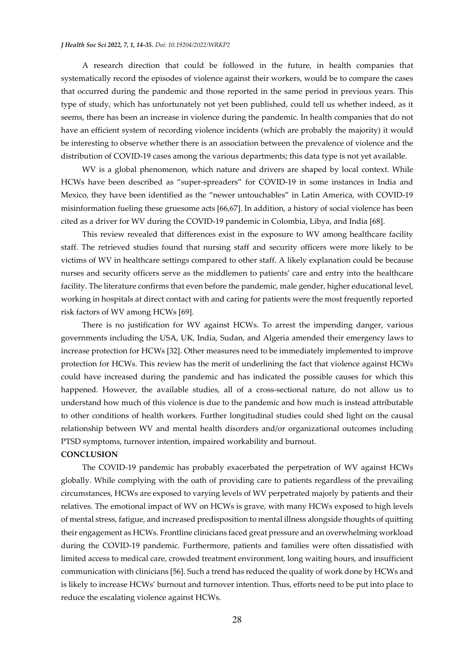A research direction that could be followed in the future, in health companies that systematically record the episodes of violence against their workers, would be to compare the cases that occurred during the pandemic and those reported in the same period in previous years. This type of study, which has unfortunately not yet been published, could tell us whether indeed, as it seems, there has been an increase in violence during the pandemic. In health companies that do not have an efficient system of recording violence incidents (which are probably the majority) it would be interesting to observe whether there is an association between the prevalence of violence and the distribution of COVID-19 cases among the various departments; this data type is not yet available.

 WV is a global phenomenon, which nature and drivers are shaped by local context. While HCWs have been described as "super-spreaders" for COVID-19 in some instances in India and Mexico, they have been identified as the "newer untouchables" in Latin America, with COVID-19 misinformation fueling these gruesome acts [66,67]. In addition, a history of social violence has been cited as a driver for WV during the COVID-19 pandemic in Colombia, Libya, and India [68].

 This review revealed that differences exist in the exposure to WV among healthcare facility staff. The retrieved studies found that nursing staff and security officers were more likely to be victims of WV in healthcare settings compared to other staff. A likely explanation could be because nurses and security officers serve as the middlemen to patients' care and entry into the healthcare facility. The literature confirms that even before the pandemic, male gender, higher educational level, working in hospitals at direct contact with and caring for patients were the most frequently reported risk factors of WV among HCWs [69].

 There is no justification for WV against HCWs. To arrest the impending danger, various governments including the USA, UK, India, Sudan, and Algeria amended their emergency laws to increase protection for HCWs [32]. Other measures need to be immediately implemented to improve protection for HCWs. This review has the merit of underlining the fact that violence against HCWs could have increased during the pandemic and has indicated the possible causes for which this happened. However, the available studies, all of a cross-sectional nature, do not allow us to understand how much of this violence is due to the pandemic and how much is instead attributable to other conditions of health workers. Further longitudinal studies could shed light on the causal relationship between WV and mental health disorders and/or organizational outcomes including PTSD symptoms, turnover intention, impaired workability and burnout.

#### **CONCLUSION**

 The COVID-19 pandemic has probably exacerbated the perpetration of WV against HCWs globally. While complying with the oath of providing care to patients regardless of the prevailing circumstances, HCWs are exposed to varying levels of WV perpetrated majorly by patients and their relatives. The emotional impact of WV on HCWs is grave, with many HCWs exposed to high levels of mental stress, fatigue, and increased predisposition to mental illness alongside thoughts of quitting their engagement as HCWs. Frontline clinicians faced great pressure and an overwhelming workload during the COVID-19 pandemic. Furthermore, patients and families were often dissatisfied with limited access to medical care, crowded treatment environment, long waiting hours, and insufficient communication with clinicians [56]. Such a trend has reduced the quality of work done by HCWs and is likely to increase HCWs' burnout and turnover intention. Thus, efforts need to be put into place to reduce the escalating violence against HCWs.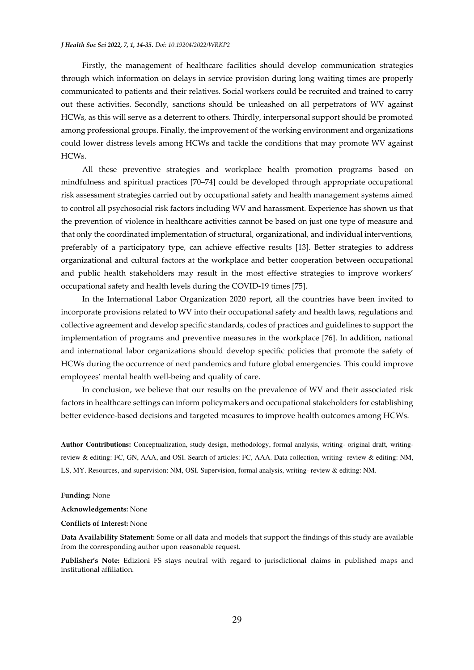Firstly, the management of healthcare facilities should develop communication strategies through which information on delays in service provision during long waiting times are properly communicated to patients and their relatives. Social workers could be recruited and trained to carry out these activities. Secondly, sanctions should be unleashed on all perpetrators of WV against HCWs, as this will serve as a deterrent to others. Thirdly, interpersonal support should be promoted among professional groups. Finally, the improvement of the working environment and organizations could lower distress levels among HCWs and tackle the conditions that may promote WV against HCWs.

 All these preventive strategies and workplace health promotion programs based on mindfulness and spiritual practices [70–74] could be developed through appropriate occupational risk assessment strategies carried out by occupational safety and health management systems aimed to control all psychosocial risk factors including WV and harassment. Experience has shown us that the prevention of violence in healthcare activities cannot be based on just one type of measure and that only the coordinated implementation of structural, organizational, and individual interventions, preferably of a participatory type, can achieve effective results [13]. Better strategies to address organizational and cultural factors at the workplace and better cooperation between occupational and public health stakeholders may result in the most effective strategies to improve workers' occupational safety and health levels during the COVID-19 times [75].

 In the International Labor Organization 2020 report, all the countries have been invited to incorporate provisions related to WV into their occupational safety and health laws, regulations and collective agreement and develop specific standards, codes of practices and guidelines to support the implementation of programs and preventive measures in the workplace [76]. In addition, national and international labor organizations should develop specific policies that promote the safety of HCWs during the occurrence of next pandemics and future global emergencies. This could improve employees' mental health well-being and quality of care.

 In conclusion, we believe that our results on the prevalence of WV and their associated risk factors in healthcare settings can inform policymakers and occupational stakeholders for establishing better evidence-based decisions and targeted measures to improve health outcomes among HCWs.

**Author Contributions:** Conceptualization, study design, methodology, formal analysis, writing- original draft, writingreview & editing: FC, GN, AAA, and OSI. Search of articles: FC, AAA. Data collection, writing- review & editing: NM, LS, MY. Resources, and supervision: NM, OSI. Supervision, formal analysis, writing- review & editing: NM.

**Funding:** None

**Acknowledgements:** None

**Conflicts of Interest:** None

**Data Availability Statement:** Some or all data and models that support the findings of this study are available from the corresponding author upon reasonable request.

**Publisher's Note:** Edizioni FS stays neutral with regard to jurisdictional claims in published maps and institutional affiliation.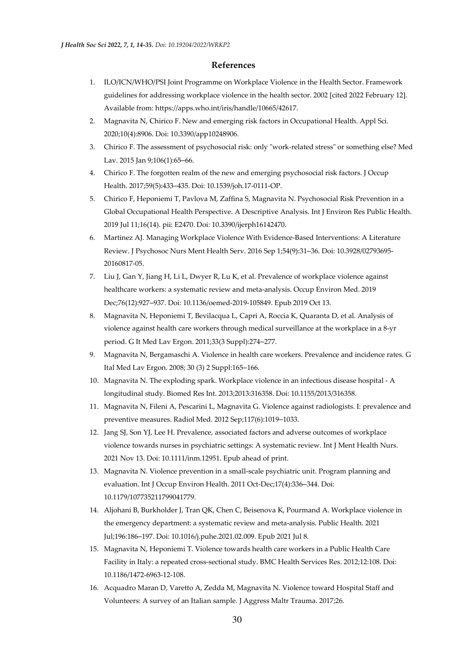## **References**

- 1. ILO/ICN/WHO/PSI Joint Programme on Workplace Violence in the Health Sector. Framework guidelines for addressing workplace violence in the health sector. 2002 [cited 2022 February 12]. Available from: https://apps.who.int/iris/handle/10665/42617.
- 2. Magnavita N, Chirico F. New and emerging risk factors in Occupational Health. Appl Sci*.* 2020;10(4):8906. Doi: 10.3390/app10248906.
- 3. Chirico F. The assessment of psychosocial risk: only "work-related stress" or something else? Med Lav. 2015 Jan 9;106(1):65–66.
- 4. Chirico F. The forgotten realm of the new and emerging psychosocial risk factors. J Occup Health. 2017;59(5):433–435. Doi: 10.1539/joh.17-0111-OP.
- 5. Chirico F, Heponiemi T, Pavlova M, Zaffina S, Magnavita N. Psychosocial Risk Prevention in a Global Occupational Health Perspective. A Descriptive Analysis. Int J Environ Res Public Health. 2019 Jul 11;16(14). pii: E2470. Doi: 10.3390/ijerph16142470.
- 6. Martinez AJ. Managing Workplace Violence With Evidence-Based Interventions: A Literature Review. J Psychosoc Nurs Ment Health Serv. 2016 Sep 1;54(9):31–36. Doi: 10.3928/02793695- 20160817-05.
- 7. Liu J, Gan Y, Jiang H, Li L, Dwyer R, Lu K, et al. Prevalence of workplace violence against healthcare workers: a systematic review and meta-analysis. Occup Environ Med. 2019 Dec;76(12):927–937. Doi: 10.1136/oemed-2019-105849. Epub 2019 Oct 13.
- 8. Magnavita N, Heponiemi T, Bevilacqua L, Capri A, Roccia K, Quaranta D, et al. Analysis of violence against health care workers through medical surveillance at the workplace in a 8-yr period. G It Med Lav Ergon. 2011;33(3 Suppl):274–277.
- 9. Magnavita N, Bergamaschi A. Violence in health care workers. Prevalence and incidence rates. G Ital Med Lav Ergon. 2008; 30 (3) 2 Suppl:165–166.
- 10. Magnavita N. The exploding spark. Workplace violence in an infectious disease hospital A longitudinal study. Biomed Res Int. 2013;2013:316358. Doi: 10.1155/2013/316358.
- 11. Magnavita N, Fileni A, Pescarini L, Magnavita G. Violence against radiologists. I: prevalence and preventive measures. Radiol Med. 2012 Sep;117(6):1019–1033.
- 12. Jang SJ, Son YJ, Lee H. Prevalence, associated factors and adverse outcomes of workplace violence towards nurses in psychiatric settings: A systematic review. Int J Ment Health Nurs. 2021 Nov 13. Doi: 10.1111/inm.12951. Epub ahead of print.
- 13. Magnavita N. Violence prevention in a small-scale psychiatric unit. Program planning and evaluation. Int J Occup Environ Health. 2011 Oct-Dec;17(4):336–344. Doi: 10.1179/107735211799041779.
- 14. Aljohani B, Burkholder J, Tran QK, Chen C, Beisenova K, Pourmand A. Workplace violence in the emergency department: a systematic review and meta-analysis. Public Health. 2021 Jul;196:186–197. Doi: 10.1016/j.puhe.2021.02.009. Epub 2021 Jul 8.
- 15. Magnavita N, Heponiemi T. Violence towards health care workers in a Public Health Care Facility in Italy: a repeated cross-sectional study. BMC Health Services Res. 2012;12:108. Doi: 10.1186/1472-6963-12-108.
- 16. Acquadro Maran D, Varetto A, Zedda M, Magnavita N. Violence toward Hospital Staff and Volunteers: A survey of an Italian sample. J Aggress Maltr Trauma. 2017;26.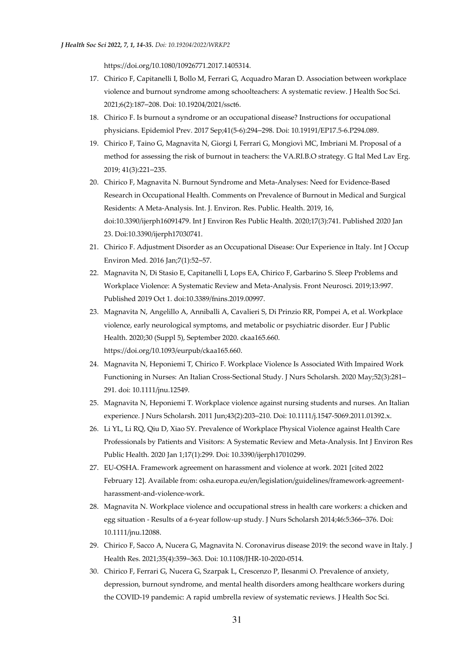https://doi.org/10.1080/10926771.2017.1405314.

- 17. Chirico F, Capitanelli I, Bollo M, Ferrari G, Acquadro Maran D. Association between workplace violence and burnout syndrome among schoolteachers: A systematic review. J Health Soc Sci. 2021;6(2):187–208. Doi: 10.19204/2021/ssct6.
- 18. Chirico F. Is burnout a syndrome or an occupational disease? Instructions for occupational physicians. Epidemiol Prev. 2017 Sep;41(5-6):294–298. Doi: 10.19191/EP17.5-6.P294.089.
- 19. Chirico F, Taino G, Magnavita N, Giorgi I, Ferrari G, Mongiovì MC, Imbriani M. Proposal of a method for assessing the risk of burnout in teachers: the VA.RI.B.O strategy. G Ital Med Lav Erg. 2019; 41(3):221–235.
- 20. Chirico F, Magnavita N. Burnout Syndrome and Meta-Analyses: Need for Evidence-Based Research in Occupational Health. Comments on Prevalence of Burnout in Medical and Surgical Residents: A Meta-Analysis. Int. J. Environ. Res. Public. Health. 2019, 16, doi:10.3390/ijerph16091479. Int J Environ Res Public Health. 2020;17(3):741. Published 2020 Jan 23. Doi:10.3390/ijerph17030741.
- 21. Chirico F. Adjustment Disorder as an Occupational Disease: Our Experience in Italy. Int J Occup Environ Med. 2016 Jan;7(1):52–57.
- 22. Magnavita N, Di Stasio E, Capitanelli I, Lops EA, Chirico F, Garbarino S. Sleep Problems and Workplace Violence: A Systematic Review and Meta-Analysis. Front Neurosci. 2019;13:997. Published 2019 Oct 1. doi:10.3389/fnins.2019.00997.
- 23. Magnavita N, Angelillo A, Anniballi A, Cavalieri S, Di Prinzio RR, Pompei A, et al. Workplace violence, early neurological symptoms, and metabolic or psychiatric disorder. Eur J Public Health. 2020;30 (Suppl 5), September 2020. ckaa165.660. https://doi.org/10.1093/eurpub/ckaa165.660.
- 24. Magnavita N, Heponiemi T, Chirico F. Workplace Violence Is Associated With Impaired Work Functioning in Nurses: An Italian Cross-Sectional Study. J Nurs Scholarsh. 2020 May;52(3):281– 291. doi: 10.1111/jnu.12549.
- 25. Magnavita N, Heponiemi T. Workplace violence against nursing students and nurses. An Italian experience. J Nurs Scholarsh. 2011 Jun;43(2):203–210. Doi: 10.1111/j.1547-5069.2011.01392.x.
- 26. Li YL, Li RQ, Qiu D, Xiao SY. Prevalence of Workplace Physical Violence against Health Care Professionals by Patients and Visitors: A Systematic Review and Meta-Analysis. Int J Environ Res Public Health. 2020 Jan 1;17(1):299. Doi: 10.3390/ijerph17010299.
- 27. EU-OSHA. Framework agreement on harassment and violence at work. 2021 [cited 2022 February 12]. Available from: osha.europa.eu/en/legislation/guidelines/framework-agreementharassment-and-violence-work.
- 28. Magnavita N. Workplace violence and occupational stress in health care workers: a chicken and egg situation - Results of a 6-year follow-up study. J Nurs Scholarsh 2014;46:5:366–376. Doi: 10.1111/jnu.12088.
- 29. Chirico F, Sacco A, Nucera G, Magnavita N. Coronavirus disease 2019: the second wave in Italy. J Health Res. 2021;35(4):359–363. Doi: 10.1108/JHR-10-2020-0514.
- 30. Chirico F, Ferrari G, Nucera G, Szarpak L, Crescenzo P, Ilesanmi O. Prevalence of anxiety, depression, burnout syndrome, and mental health disorders among healthcare workers during the COVID-19 pandemic: A rapid umbrella review of systematic reviews. J Health Soc Sci.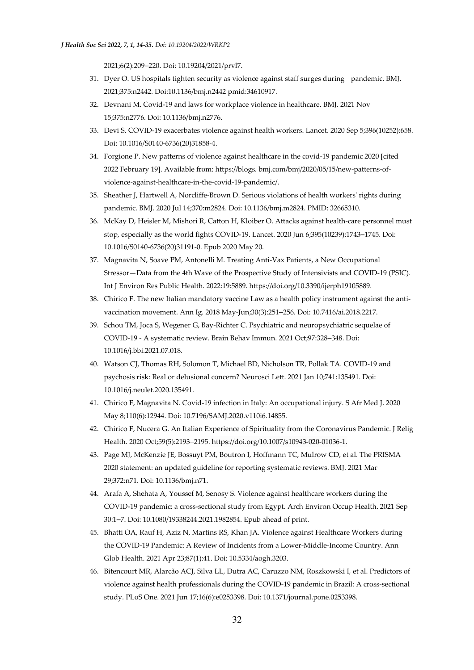2021;6(2):209–220. Doi: 10.19204/2021/prvl7.

- 31. Dyer O. US hospitals tighten security as violence against staff surges during pandemic. BMJ. 2021;375:n2442. Doi:10.1136/bmj.n2442 pmid:34610917.
- 32. Devnani M. Covid-19 and laws for workplace violence in healthcare. BMJ. 2021 Nov 15;375:n2776. Doi: 10.1136/bmj.n2776.
- 33. Devi S. COVID-19 exacerbates violence against health workers. Lancet. 2020 Sep 5;396(10252):658. Doi: 10.1016/S0140-6736(20)31858-4.
- 34. Forgione P. New patterns of violence against healthcare in the covid-19 pandemic 2020 [cited 2022 February 19]. Available from: https://blogs. bmj.com/bmj/2020/05/15/new-patterns-ofviolence-against-healthcare-in-the-covid-19-pandemic/.
- 35. Sheather J, Hartwell A, Norcliffe-Brown D. Serious violations of health workers' rights during pandemic. BMJ. 2020 Jul 14;370:m2824. Doi: 10.1136/bmj.m2824. PMID: 32665310.
- 36. McKay D, Heisler M, Mishori R, Catton H, Kloiber O. Attacks against health-care personnel must stop, especially as the world fights COVID-19. Lancet. 2020 Jun 6;395(10239):1743–1745. Doi: 10.1016/S0140-6736(20)31191-0. Epub 2020 May 20.
- 37. Magnavita N, Soave PM, Antonelli M. Treating Anti-Vax Patients, a New Occupational Stressor—Data from the 4th Wave of the Prospective Study of Intensivists and COVID-19 (PSIC). Int J Environ Res Public Health. 2022:19:5889. https://doi.org/10.3390/ijerph19105889.
- 38. Chirico F. The new Italian mandatory vaccine Law as a health policy instrument against the antivaccination movement. Ann Ig. 2018 May-Jun;30(3):251–256. Doi: 10.7416/ai.2018.2217.
- 39. Schou TM, Joca S, Wegener G, Bay-Richter C. Psychiatric and neuropsychiatric sequelae of COVID-19 - A systematic review. Brain Behav Immun. 2021 Oct;97:328–348. Doi: 10.1016/j.bbi.2021.07.018.
- 40. Watson CJ, Thomas RH, Solomon T, Michael BD, Nicholson TR, Pollak TA. COVID-19 and psychosis risk: Real or delusional concern? Neurosci Lett. 2021 Jan 10;741:135491. Doi: 10.1016/j.neulet.2020.135491.
- 41. Chirico F, Magnavita N. Covid-19 infection in Italy: An occupational injury. S Afr Med J. 2020 May 8;110(6):12944. Doi: 10.7196/SAMJ.2020.v110i6.14855.
- 42. Chirico F, Nucera G. An Italian Experience of Spirituality from the Coronavirus Pandemic. J Relig Health. 2020 Oct;59(5):2193–2195. https://doi.org/10.1007/s10943-020-01036-1.
- 43. Page MJ, McKenzie JE, Bossuyt PM, Boutron I, Hoffmann TC, Mulrow CD, et al. The PRISMA 2020 statement: an updated guideline for reporting systematic reviews. BMJ. 2021 Mar 29;372:n71. Doi: 10.1136/bmj.n71.
- 44. Arafa A, Shehata A, Youssef M, Senosy S. Violence against healthcare workers during the COVID-19 pandemic: a cross-sectional study from Egypt. Arch Environ Occup Health. 2021 Sep 30:1–7. Doi: 10.1080/19338244.2021.1982854. Epub ahead of print.
- 45. Bhatti OA, Rauf H, Aziz N, Martins RS, Khan JA. Violence against Healthcare Workers during the COVID-19 Pandemic: A Review of Incidents from a Lower-Middle-Income Country. Ann Glob Health. 2021 Apr 23;87(1):41. Doi: 10.5334/aogh.3203.
- 46. Bitencourt MR, Alarcão ACJ, Silva LL, Dutra AC, Caruzzo NM, Roszkowski I, et al. Predictors of violence against health professionals during the COVID-19 pandemic in Brazil: A cross-sectional study. PLoS One. 2021 Jun 17;16(6):e0253398. Doi: 10.1371/journal.pone.0253398.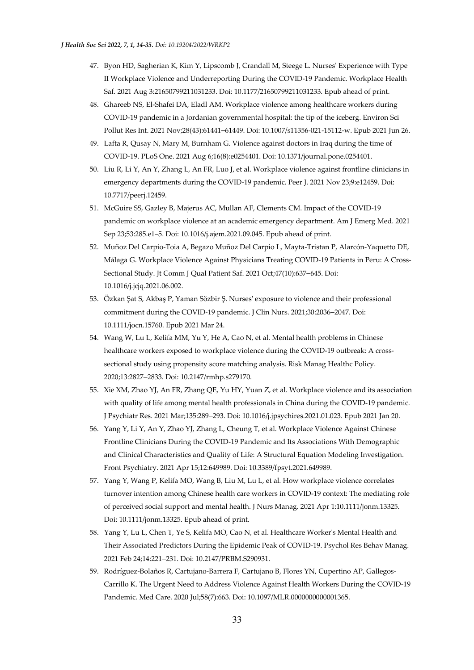- 47. Byon HD, Sagherian K, Kim Y, Lipscomb J, Crandall M, Steege L. Nurses' Experience with Type II Workplace Violence and Underreporting During the COVID-19 Pandemic. Workplace Health Saf. 2021 Aug 3:21650799211031233. Doi: 10.1177/21650799211031233. Epub ahead of print.
- 48. Ghareeb NS, El-Shafei DA, Eladl AM. Workplace violence among healthcare workers during COVID-19 pandemic in a Jordanian governmental hospital: the tip of the iceberg. Environ Sci Pollut Res Int. 2021 Nov;28(43):61441–61449. Doi: 10.1007/s11356-021-15112-w. Epub 2021 Jun 26.
- 49. Lafta R, Qusay N, Mary M, Burnham G. Violence against doctors in Iraq during the time of COVID-19. PLoS One. 2021 Aug 6;16(8):e0254401. Doi: 10.1371/journal.pone.0254401.
- 50. Liu R, Li Y, An Y, Zhang L, An FR, Luo J, et al. Workplace violence against frontline clinicians in emergency departments during the COVID-19 pandemic. Peer J. 2021 Nov 23;9:e12459. Doi: 10.7717/peerj.12459.
- 51. McGuire SS, Gazley B, Majerus AC, Mullan AF, Clements CM. Impact of the COVID-19 pandemic on workplace violence at an academic emergency department. Am J Emerg Med. 2021 Sep 23;53:285.e1–5. Doi: 10.1016/j.ajem.2021.09.045. Epub ahead of print.
- 52. Muñoz Del Carpio-Toia A, Begazo Muñoz Del Carpio L, Mayta-Tristan P, Alarcón-Yaquetto DE, Málaga G. Workplace Violence Against Physicians Treating COVID-19 Patients in Peru: A Cross-Sectional Study. Jt Comm J Qual Patient Saf. 2021 Oct;47(10):637–645. Doi: 10.1016/j.jcjq.2021.06.002.
- 53. Özkan Şat S, Akbaş P, Yaman Sözbir Ş. Nurses' exposure to violence and their professional commitment during the COVID-19 pandemic. J Clin Nurs. 2021;30:2036–2047. Doi: 10.1111/jocn.15760. Epub 2021 Mar 24.
- 54. Wang W, Lu L, Kelifa MM, Yu Y, He A, Cao N, et al. Mental health problems in Chinese healthcare workers exposed to workplace violence during the COVID-19 outbreak: A crosssectional study using propensity score matching analysis. Risk Manag Healthc Policy. 2020;13:2827–2833. Doi: 10.2147/rmhp.s279170.
- 55. Xie XM, Zhao YJ, An FR, Zhang QE, Yu HY, Yuan Z, et al. Workplace violence and its association with quality of life among mental health professionals in China during the COVID-19 pandemic. J Psychiatr Res. 2021 Mar;135:289–293. Doi: 10.1016/j.jpsychires.2021.01.023. Epub 2021 Jan 20.
- 56. Yang Y, Li Y, An Y, Zhao YJ, Zhang L, Cheung T, et al. Workplace Violence Against Chinese Frontline Clinicians During the COVID-19 Pandemic and Its Associations With Demographic and Clinical Characteristics and Quality of Life: A Structural Equation Modeling Investigation. Front Psychiatry. 2021 Apr 15;12:649989. Doi: 10.3389/fpsyt.2021.649989.
- 57. Yang Y, Wang P, Kelifa MO, Wang B, Liu M, Lu L, et al. How workplace violence correlates turnover intention among Chinese health care workers in COVID-19 context: The mediating role of perceived social support and mental health. J Nurs Manag. 2021 Apr 1:10.1111/jonm.13325. Doi: 10.1111/jonm.13325. Epub ahead of print.
- 58. Yang Y, Lu L, Chen T, Ye S, Kelifa MO, Cao N, et al. Healthcare Worker's Mental Health and Their Associated Predictors During the Epidemic Peak of COVID-19. Psychol Res Behav Manag. 2021 Feb 24;14:221–231. Doi: 10.2147/PRBM.S290931.
- 59. Rodríguez-Bolaños R, Cartujano-Barrera F, Cartujano B, Flores YN, Cupertino AP, Gallegos-Carrillo K. The Urgent Need to Address Violence Against Health Workers During the COVID-19 Pandemic. Med Care. 2020 Jul;58(7):663. Doi: 10.1097/MLR.0000000000001365.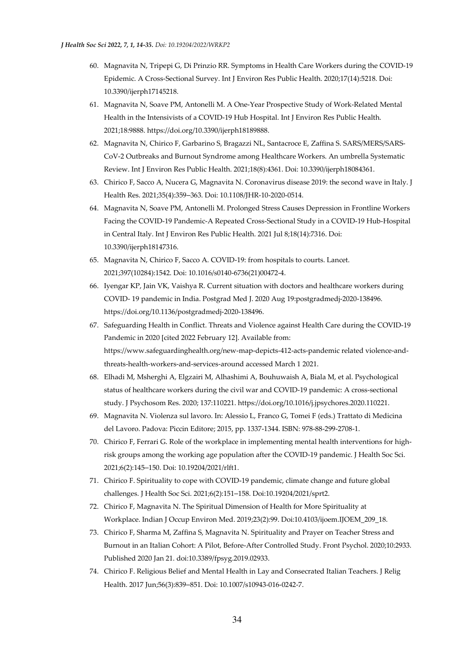- 60. Magnavita N, Tripepi G, Di Prinzio RR. Symptoms in Health Care Workers during the COVID-19 Epidemic. A Cross-Sectional Survey. Int J Environ Res Public Health. 2020;17(14):5218. Doi: 10.3390/ijerph17145218.
- 61. Magnavita N, Soave PM, Antonelli M. A One-Year Prospective Study of Work-Related Mental Health in the Intensivists of a COVID-19 Hub Hospital. Int J Environ Res Public Health. 2021;18:9888. https://doi.org/10.3390/ijerph18189888.
- 62. Magnavita N, Chirico F, Garbarino S, Bragazzi NL, Santacroce E, Zaffina S. SARS/MERS/SARS-CoV-2 Outbreaks and Burnout Syndrome among Healthcare Workers. An umbrella Systematic Review. Int J Environ Res Public Health. 2021;18(8):4361. Doi: 10.3390/ijerph18084361.
- 63. Chirico F, Sacco A, Nucera G, Magnavita N. Coronavirus disease 2019: the second wave in Italy. J Health Res. 2021;35(4):359–363. Doi: 10.1108/JHR-10-2020-0514.
- 64. Magnavita N, Soave PM, Antonelli M. Prolonged Stress Causes Depression in Frontline Workers Facing the COVID-19 Pandemic-A Repeated Cross-Sectional Study in a COVID-19 Hub-Hospital in Central Italy. Int J Environ Res Public Health. 2021 Jul 8;18(14):7316. Doi: 10.3390/ijerph18147316.
- 65. Magnavita N, Chirico F, Sacco A. COVID-19: from hospitals to courts. Lancet. 2021;397(10284):1542. Doi: 10.1016/s0140-6736(21)00472-4.
- 66. Iyengar KP, Jain VK, Vaishya R. Current situation with doctors and healthcare workers during COVID- 19 pandemic in India. Postgrad Med J. 2020 Aug 19:postgradmedj-2020-138496. https://doi.org/10.1136/postgradmedj-2020-138496.
- 67. Safeguarding Health in Conflict. Threats and Violence against Health Care during the COVID-19 Pandemic in 2020 [cited 2022 February 12]. Available from: https://www.safeguardinghealth.org/new-map-depicts-412-acts-pandemic related violence-andthreats-health-workers-and-services-around accessed March 1 2021.
- 68. Elhadi M, Msherghi A, Elgzairi M, Alhashimi A, Bouhuwaish A, Biala M, et al. Psychological status of healthcare workers during the civil war and COVID-19 pandemic: A cross-sectional study. J Psychosom Res. 2020; 137:110221. https://doi.org/10.1016/j.jpsychores.2020.110221.
- 69. Magnavita N. Violenza sul lavoro. In: Alessio L, Franco G, Tomei F (eds.) Trattato di Medicina del Lavoro. Padova: Piccin Editore; 2015, pp. 1337-1344. ISBN: 978-88-299-2708-1.
- 70. Chirico F, Ferrari G. Role of the workplace in implementing mental health interventions for highrisk groups among the working age population after the COVID-19 pandemic. J Health Soc Sci. 2021;6(2):145–150. Doi: 10.19204/2021/rlft1.
- 71. Chirico F. Spirituality to cope with COVID-19 pandemic, climate change and future global challenges. J Health Soc Sci. 2021;6(2):151–158. Doi:10.19204/2021/sprt2.
- 72. Chirico F, Magnavita N. The Spiritual Dimension of Health for More Spirituality at Workplace. Indian J Occup Environ Med. 2019;23(2):99. Doi:10.4103/ijoem.IJOEM\_209\_18.
- 73. Chirico F, Sharma M, Zaffina S, Magnavita N. Spirituality and Prayer on Teacher Stress and Burnout in an Italian Cohort: A Pilot, Before-After Controlled Study. Front Psychol. 2020;10:2933. Published 2020 Jan 21. doi:10.3389/fpsyg.2019.02933.
- 74. Chirico F. Religious Belief and Mental Health in Lay and Consecrated Italian Teachers. J Relig Health. 2017 Jun;56(3):839–851. Doi: 10.1007/s10943-016-0242-7.